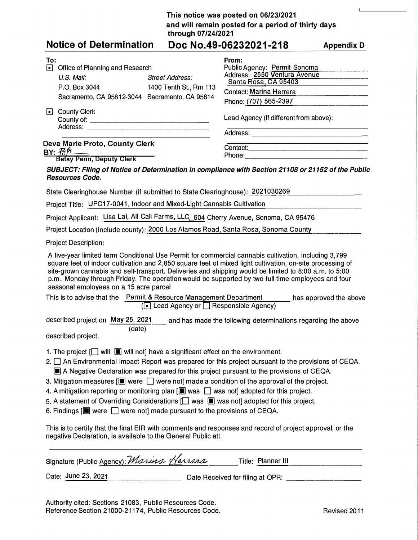## **This notice was posted on 06/23/2021 and will remain posted for a period of thirty days through 07/24/2021**

 $\mathbf{I}$ 

| <b>Notice of Determination</b>                                                                                                                                                                                                                                                                                                                                                                                                                                                                                                                                                                                                                                                                                                                                                                                                                                                                                                   |                                                  | Doc No.49-06232021-218                                                                                                                                   | <b>Appendix D</b>      |
|----------------------------------------------------------------------------------------------------------------------------------------------------------------------------------------------------------------------------------------------------------------------------------------------------------------------------------------------------------------------------------------------------------------------------------------------------------------------------------------------------------------------------------------------------------------------------------------------------------------------------------------------------------------------------------------------------------------------------------------------------------------------------------------------------------------------------------------------------------------------------------------------------------------------------------|--------------------------------------------------|----------------------------------------------------------------------------------------------------------------------------------------------------------|------------------------|
| To:<br>Office of Planning and Research<br>U.S. Mail:<br>P.O. Box 3044<br>Sacramento, CA 95812-3044 Sacramento, CA 95814                                                                                                                                                                                                                                                                                                                                                                                                                                                                                                                                                                                                                                                                                                                                                                                                          | <b>Street Address:</b><br>1400 Tenth St., Rm 113 | From:<br>Public Agency: Permit Sonoma<br>Address: 2550 Ventura Avenue<br>Santa Rosa, CA 95403<br><b>Contact: Marina Herrera</b><br>Phone: (707) 565-2397 |                        |
| □ County Clerk                                                                                                                                                                                                                                                                                                                                                                                                                                                                                                                                                                                                                                                                                                                                                                                                                                                                                                                   |                                                  | Lead Agency (if different from above):                                                                                                                   |                        |
|                                                                                                                                                                                                                                                                                                                                                                                                                                                                                                                                                                                                                                                                                                                                                                                                                                                                                                                                  |                                                  |                                                                                                                                                          |                        |
| Deva Marie Proto, County Clerk<br><u>BY: 1814</u><br>Betsy Penn, Deputy Clerk                                                                                                                                                                                                                                                                                                                                                                                                                                                                                                                                                                                                                                                                                                                                                                                                                                                    |                                                  | Phone: <u>________________________________</u>                                                                                                           |                        |
| SUBJECT: Filing of Notice of Determination in compliance with Section 21108 or 21152 of the Public<br><b>Resources Code.</b>                                                                                                                                                                                                                                                                                                                                                                                                                                                                                                                                                                                                                                                                                                                                                                                                     |                                                  |                                                                                                                                                          |                        |
| State Clearinghouse Number (if submitted to State Clearinghouse): 2021030269                                                                                                                                                                                                                                                                                                                                                                                                                                                                                                                                                                                                                                                                                                                                                                                                                                                     |                                                  |                                                                                                                                                          |                        |
| Project Title: UPC17-0041, Indoor and Mixed-Light Cannabis Cultivation                                                                                                                                                                                                                                                                                                                                                                                                                                                                                                                                                                                                                                                                                                                                                                                                                                                           |                                                  |                                                                                                                                                          |                        |
| Project Applicant: Lisa Lai, All Cali Farms, LLC, 604 Cherry Avenue, Sonoma, CA 95476                                                                                                                                                                                                                                                                                                                                                                                                                                                                                                                                                                                                                                                                                                                                                                                                                                            |                                                  |                                                                                                                                                          |                        |
| Project Location (include county): 2000 Los Alamos Road, Santa Rosa, Sonoma County                                                                                                                                                                                                                                                                                                                                                                                                                                                                                                                                                                                                                                                                                                                                                                                                                                               |                                                  |                                                                                                                                                          |                        |
| <b>Project Description:</b>                                                                                                                                                                                                                                                                                                                                                                                                                                                                                                                                                                                                                                                                                                                                                                                                                                                                                                      |                                                  |                                                                                                                                                          |                        |
| A five-year limited term Conditional Use Permit for commercial cannabis cultivation, including 3,799<br>square feet of indoor cultivation and 2,850 square feet of mixed light cultivation, on-site processing of<br>site-grown cannabis and self-transport. Deliveries and shipping would be limited to 8:00 a.m. to 5:00<br>p.m., Monday through Friday. The operation would be supported by two full time employees and four<br>seasonal employees on a 15 acre parcel<br>This is to advise that the Permit & Resource Management Department                                                                                                                                                                                                                                                                                                                                                                                  |                                                  | (□ Lead Agency or □ Responsible Agency)                                                                                                                  | has approved the above |
| described project on May 25, 2021 __ and has made the following determinations regarding the above<br>(date)<br>described project.                                                                                                                                                                                                                                                                                                                                                                                                                                                                                                                                                                                                                                                                                                                                                                                               |                                                  |                                                                                                                                                          |                        |
| 1. The project $[\Box]$ will $[\Box]$ will not] have a significant effect on the environment.<br>2. $\Box$ An Environmental Impact Report was prepared for this project pursuant to the provisions of CEQA.<br>A Negative Declaration was prepared for this project pursuant to the provisions of CEQA.<br>3. Mitigation measures $[\blacksquare]$ were $\Box$ were not] made a condition of the approval of the project.<br>4. A mitigation reporting or monitoring plan $[\blacksquare$ was $\Box$ was not] adopted for this project.<br>5. A statement of Overriding Considerations $[\square]$ was $[\square]$ was not] adopted for this project.<br>6. Findings $[\blacksquare]$ were $\Box$ were not] made pursuant to the provisions of CEQA.<br>This is to certify that the final EIR with comments and responses and record of project approval, or the<br>negative Declaration, is available to the General Public at: |                                                  |                                                                                                                                                          |                        |
| Signature (Public Agency): Marina Herrera                                                                                                                                                                                                                                                                                                                                                                                                                                                                                                                                                                                                                                                                                                                                                                                                                                                                                        |                                                  | Title: Planner III                                                                                                                                       |                        |

Date: June 23, 2021 Date Received for filing at OPR: \_\_\_\_\_\_\_ \_

Authority cited: Sections 21083, Public Resources Code. Reference Section 21000-21174, Public Resources Code. Revised 2011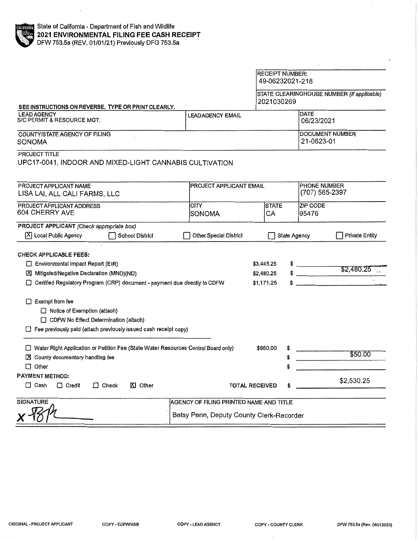|                                                                                                                                                                                                                                                                                                                                                                         |                                                                                     | 49-06232021-218                        |                                  |                                            |  |
|-------------------------------------------------------------------------------------------------------------------------------------------------------------------------------------------------------------------------------------------------------------------------------------------------------------------------------------------------------------------------|-------------------------------------------------------------------------------------|----------------------------------------|----------------------------------|--------------------------------------------|--|
| SEE INSTRUCTIONS ON REVERSE, TYPE OR PRINT CLEARLY.                                                                                                                                                                                                                                                                                                                     |                                                                                     | 2021030269                             |                                  | STATE CLEARINGHOUSE NUMBER (If applicable) |  |
| <b>LEAD AGENCY</b><br>S/C PERMIT & RESOURCE MGT.                                                                                                                                                                                                                                                                                                                        | <b>LEADAGENCY EMAIL</b>                                                             |                                        |                                  | <b>DATE</b><br>06/23/2021                  |  |
| COUNTY/STATE AGENCY OF FILING<br>SONOMA                                                                                                                                                                                                                                                                                                                                 |                                                                                     |                                        |                                  | <b>DOCUMENT NUMBER</b><br>21-0623-01       |  |
| PROJECT TITLE<br>UPC17-0041, INDOOR AND MIXED-LIGHT CANNABIS CULTIVATION                                                                                                                                                                                                                                                                                                |                                                                                     |                                        |                                  |                                            |  |
| PROJECT APPLICANT NAME<br>LISA LAI, ALL CALI FARMS, LLC                                                                                                                                                                                                                                                                                                                 |                                                                                     | PROJECT APPLICANT EMAIL                |                                  | <b>PHONE NUMBER</b><br>(707) 565-2397      |  |
| PROJECT APPLICANT ADDRESS<br>604 CHERRY AVE                                                                                                                                                                                                                                                                                                                             | CITY<br><b>SONOMA</b>                                                               | <b>STATE</b><br>CA                     | <b>ZIP CODE</b><br>95476         |                                            |  |
| PROJECT APPLICANT (Check appropriate box)<br>X Local Public Agency<br><b>School District</b>                                                                                                                                                                                                                                                                            | <b>Other Special District</b>                                                       |                                        | <b>State Agency</b>              | <b>Private Entity</b>                      |  |
| <b>CHECK APPLICABLE FEES:</b><br>Environmental Impact Report (EIR)<br>Mitigated/Negative Declaration (MND)(ND)<br>□ Certified Regulatory Program (CRP) document - payment due directly to CDFW<br>$\Box$ Exempt from fee<br>□ Notice of Exemption (attach)<br>CDFW No Effect Determination (attach)<br>Fee previously paid (attach previously issued cash receipt copy) |                                                                                     | \$3,445.25<br>\$2,480.25<br>\$1,171,25 | $\degree$ $\rule{0.2cm}{0.15mm}$ | \$2,480.25                                 |  |
| Water Right Application or Petition Fee (State Water Resources Control Board only)<br>X County documentary handling fee<br>$\Box$ Other                                                                                                                                                                                                                                 |                                                                                     | \$850,00                               |                                  | \$50.00                                    |  |
| PAYMENT METHOD:<br>$\Box$ Check<br>$\Box$ Cash<br>$\Box$ Credit<br><b>凶 Other</b>                                                                                                                                                                                                                                                                                       |                                                                                     | <b>TOTAL RECEIVED</b>                  |                                  | \$2,530.25                                 |  |
| <b>SIGNATURE</b>                                                                                                                                                                                                                                                                                                                                                        | AGENCY OF FILING PRINTED NAME AND TITLE<br>Betsy Penn, Deputy County Clerk-Recorder |                                        |                                  |                                            |  |

RECEIPT NUMBER: